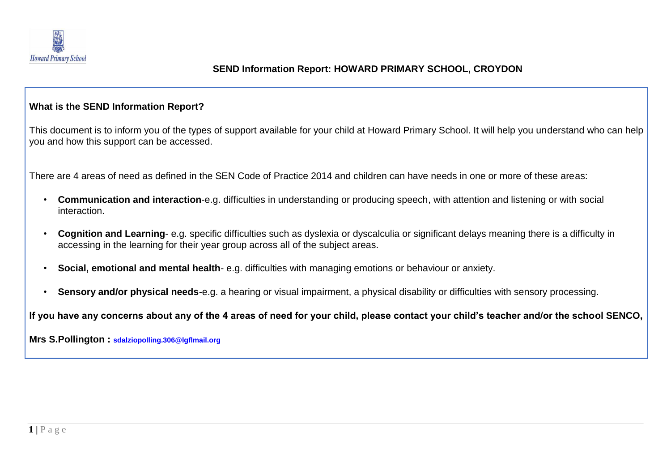

## **SEND Information Report: HOWARD PRIMARY SCHOOL, CROYDON**

## **What is the SEND Information Report?**

This document is to inform you of the types of support available for your child at Howard Primary School. It will help you understand who can help you and how this support can be accessed.

There are 4 areas of need as defined in the SEN Code of Practice 2014 and children can have needs in one or more of these areas:

- **Communication and interaction**-e.g. difficulties in understanding or producing speech, with attention and listening or with social interaction.
- **Cognition and Learning** e.g. specific difficulties such as dyslexia or dyscalculia or significant delays meaning there is a difficulty in accessing in the learning for their year group across all of the subject areas.
- **Social, emotional and mental health** e.g. difficulties with managing emotions or behaviour or anxiety.
- **Sensory and/or physical needs**-e.g. a hearing or visual impairment, a physical disability or difficulties with sensory processing.

**If you have any concerns about any of the 4 areas of need for your child, please contact your child's teacher and/or the school SENCO,** 

**Mrs S.Pollington : sdalziopolling.306@lgflmail.org**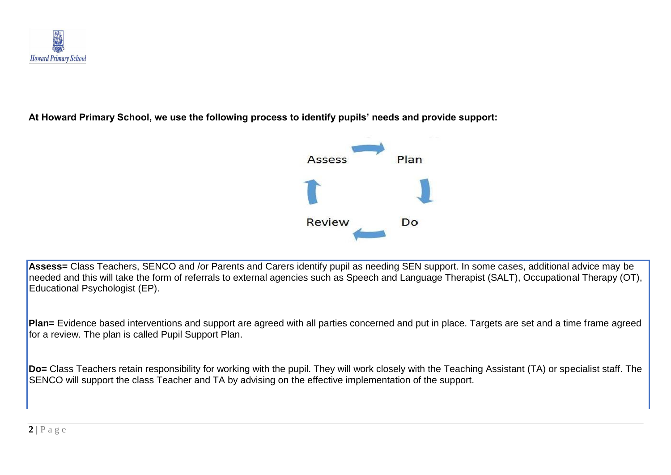

**At Howard Primary School, we use the following process to identify pupils' needs and provide support:**



L **Assess=** Class Teachers, SENCO and /or Parents and Carers identify pupil as needing SEN support. In some cases, additional advice may be needed and this will take the form of referrals to external agencies such as Speech and Language Therapist (SALT), Occupational Therapy (OT), Educational Psychologist (EP).

**Plan=** Evidence based interventions and support are agreed with all parties concerned and put in place. Targets are set and a time frame agreed for a review. The plan is called Pupil Support Plan.

**Do=** Class Teachers retain responsibility for working with the pupil. They will work closely with the Teaching Assistant (TA) or specialist staff. The SENCO will support the class Teacher and TA by advising on the effective implementation of the support.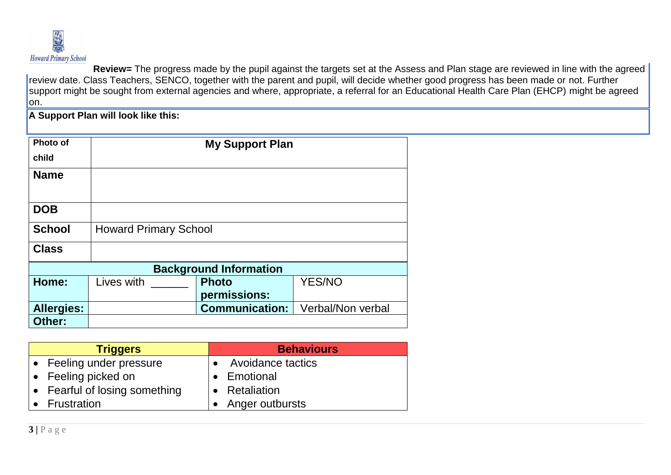

**Review=** The progress made by the pupil against the targets set at the Assess and Plan stage are reviewed in line with the agreed review date. Class Teachers, SENCO, together with the parent and pupil, will decide whether good progress has been made or not. Further support might be sought from external agencies and where, appropriate, a referral for an Educational Health Care Plan (EHCP) might be agreed lon.

**A Support Plan will look like this:**

| Photo of          | <b>My Support Plan</b>        |                       |                   |
|-------------------|-------------------------------|-----------------------|-------------------|
| child             |                               |                       |                   |
| <b>Name</b>       |                               |                       |                   |
| <b>DOB</b>        |                               |                       |                   |
| <b>School</b>     | <b>Howard Primary School</b>  |                       |                   |
| <b>Class</b>      |                               |                       |                   |
|                   | <b>Background Information</b> |                       |                   |
| Home:             | Lives with                    | <b>Photo</b>          | <b>YES/NO</b>     |
|                   |                               | permissions:          |                   |
| <b>Allergies:</b> |                               | <b>Communication:</b> | Verbal/Non verbal |
| Other:            |                               |                       |                   |

| <b>Triggers</b>               | <b>Behaviours</b>        |
|-------------------------------|--------------------------|
| • Feeling under pressure      | <b>Avoidance tactics</b> |
| • Feeling picked on           | • Emotional              |
| • Fearful of losing something | • Retaliation            |
| Frustration                   | • Anger outbursts        |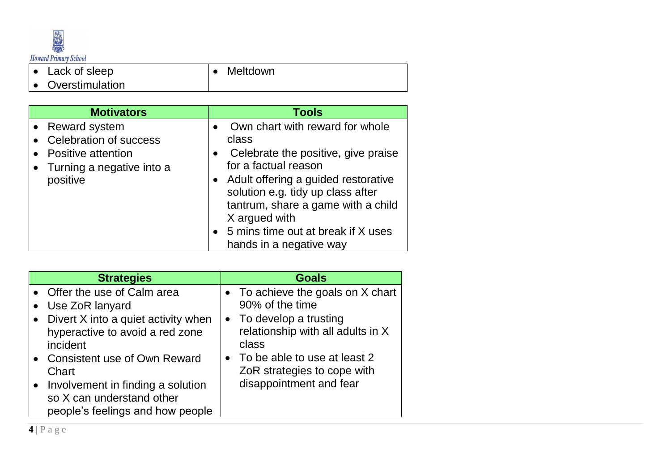

• Lack of sleep

• Meltdown

• Overstimulation

| <b>Motivators</b>                                                                                                 | <b>Tools</b>                                                                                                                                                                                                                                                                                                    |
|-------------------------------------------------------------------------------------------------------------------|-----------------------------------------------------------------------------------------------------------------------------------------------------------------------------------------------------------------------------------------------------------------------------------------------------------------|
| • Reward system<br><b>Celebration of success</b><br>Positive attention<br>• Turning a negative into a<br>positive | Own chart with reward for whole<br>class<br>Celebrate the positive, give praise<br>for a factual reason<br>• Adult offering a guided restorative<br>solution e.g. tidy up class after<br>tantrum, share a game with a child<br>X argued with<br>• 5 mins time out at break if X uses<br>hands in a negative way |

| <b>Strategies</b>                                                                                                                                                                                                                                                                          | <b>Goals</b>                                                                                                                                                                                                                |
|--------------------------------------------------------------------------------------------------------------------------------------------------------------------------------------------------------------------------------------------------------------------------------------------|-----------------------------------------------------------------------------------------------------------------------------------------------------------------------------------------------------------------------------|
| • Offer the use of Calm area<br>Use ZoR lanyard<br>• Divert X into a quiet activity when<br>hyperactive to avoid a red zone<br>incident<br>• Consistent use of Own Reward<br>Chart<br>• Involvement in finding a solution<br>so X can understand other<br>people's feelings and how people | • To achieve the goals on $X$ chart<br>90% of the time<br>• To develop a trusting<br>relationship with all adults in X<br>class<br>• To be able to use at least 2<br>ZoR strategies to cope with<br>disappointment and fear |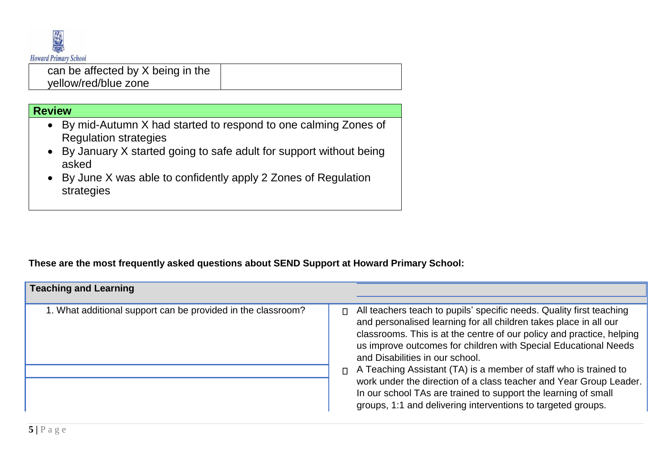

can be affected by X being in the yellow/red/blue zone

## **Review**

- By mid-Autumn X had started to respond to one calming Zones of Regulation strategies
- By January X started going to safe adult for support without being asked
- By June X was able to confidently apply 2 Zones of Regulation strategies

## **These are the most frequently asked questions about SEND Support at Howard Primary School:**

| <b>Teaching and Learning</b>                                 |              |                                                                                                                                                                                                                                                                                                                                                                                                                                                                                                                                                                                                      |
|--------------------------------------------------------------|--------------|------------------------------------------------------------------------------------------------------------------------------------------------------------------------------------------------------------------------------------------------------------------------------------------------------------------------------------------------------------------------------------------------------------------------------------------------------------------------------------------------------------------------------------------------------------------------------------------------------|
| 1. What additional support can be provided in the classroom? | П.<br>$\Box$ | All teachers teach to pupils' specific needs. Quality first teaching<br>and personalised learning for all children takes place in all our<br>classrooms. This is at the centre of our policy and practice, helping<br>us improve outcomes for children with Special Educational Needs<br>and Disabilities in our school.<br>A Teaching Assistant (TA) is a member of staff who is trained to<br>work under the direction of a class teacher and Year Group Leader.<br>In our school TAs are trained to support the learning of small<br>groups, 1:1 and delivering interventions to targeted groups. |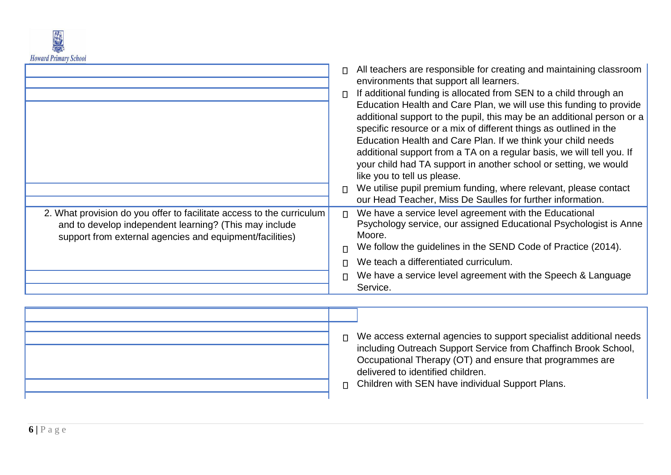

|                                                                                                                                                                                             | All teachers are responsible for creating and maintaining classroom<br>$\Box$<br>environments that support all learners.<br>If additional funding is allocated from SEN to a child through an<br>$\Box$<br>Education Health and Care Plan, we will use this funding to provide<br>additional support to the pupil, this may be an additional person or a<br>specific resource or a mix of different things as outlined in the<br>Education Health and Care Plan. If we think your child needs<br>additional support from a TA on a regular basis, we will tell you. If<br>your child had TA support in another school or setting, we would<br>like you to tell us please.<br>We utilise pupil premium funding, where relevant, please contact<br>$\Box$<br>our Head Teacher, Miss De Saulles for further information. |
|---------------------------------------------------------------------------------------------------------------------------------------------------------------------------------------------|-----------------------------------------------------------------------------------------------------------------------------------------------------------------------------------------------------------------------------------------------------------------------------------------------------------------------------------------------------------------------------------------------------------------------------------------------------------------------------------------------------------------------------------------------------------------------------------------------------------------------------------------------------------------------------------------------------------------------------------------------------------------------------------------------------------------------|
| 2. What provision do you offer to facilitate access to the curriculum<br>and to develop independent learning? (This may include<br>support from external agencies and equipment/facilities) | We have a service level agreement with the Educational<br>$\Box$<br>Psychology service, our assigned Educational Psychologist is Anne<br>Moore.<br>We follow the guidelines in the SEND Code of Practice (2014).                                                                                                                                                                                                                                                                                                                                                                                                                                                                                                                                                                                                      |
|                                                                                                                                                                                             | We teach a differentiated curriculum.<br>We have a service level agreement with the Speech & Language<br>Service.                                                                                                                                                                                                                                                                                                                                                                                                                                                                                                                                                                                                                                                                                                     |

| $\Box$<br>$\Box$ | We access external agencies to support specialist additional needs<br>including Outreach Support Service from Chaffinch Brook School,<br>Occupational Therapy (OT) and ensure that programmes are<br>delivered to identified children.<br>Children with SEN have individual Support Plans. |
|------------------|--------------------------------------------------------------------------------------------------------------------------------------------------------------------------------------------------------------------------------------------------------------------------------------------|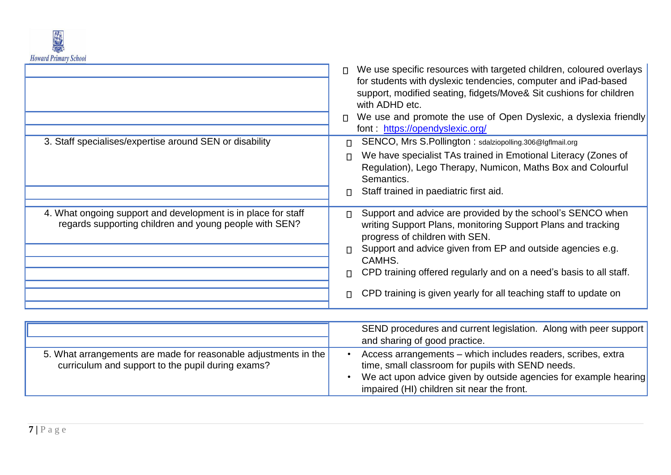

|                                                                                                                         | We use specific resources with targeted children, coloured overlays<br>$\Box$<br>for students with dyslexic tendencies, computer and iPad-based<br>support, modified seating, fidgets/Move& Sit cushions for children<br>with ADHD etc.<br>We use and promote the use of Open Dyslexic, a dyslexia friendly<br>$\Box$<br>font: https://opendyslexic.org/                                                     |
|-------------------------------------------------------------------------------------------------------------------------|--------------------------------------------------------------------------------------------------------------------------------------------------------------------------------------------------------------------------------------------------------------------------------------------------------------------------------------------------------------------------------------------------------------|
| 3. Staff specialises/expertise around SEN or disability                                                                 | SENCO, Mrs S.Pollington: sdalziopolling.306@lgflmail.org<br>Π.<br>We have specialist TAs trained in Emotional Literacy (Zones of<br>$\Box$<br>Regulation), Lego Therapy, Numicon, Maths Box and Colourful<br>Semantics.<br>Staff trained in paediatric first aid.<br>$\Box$                                                                                                                                  |
| 4. What ongoing support and development is in place for staff<br>regards supporting children and young people with SEN? | Support and advice are provided by the school's SENCO when<br>$\Box$<br>writing Support Plans, monitoring Support Plans and tracking<br>progress of children with SEN.<br>Support and advice given from EP and outside agencies e.g.<br>CAMHS.<br>CPD training offered regularly and on a need's basis to all staff.<br>$\Box$<br>CPD training is given yearly for all teaching staff to update on<br>$\Box$ |

|                                                                                                                      | SEND procedures and current legislation. Along with peer support<br>and sharing of good practice.                                                                                                                                   |
|----------------------------------------------------------------------------------------------------------------------|-------------------------------------------------------------------------------------------------------------------------------------------------------------------------------------------------------------------------------------|
| 5. What arrangements are made for reasonable adjustments in the<br>curriculum and support to the pupil during exams? | Access arrangements - which includes readers, scribes, extra<br>time, small classroom for pupils with SEND needs.<br>We act upon advice given by outside agencies for example hearing<br>impaired (HI) children sit near the front. |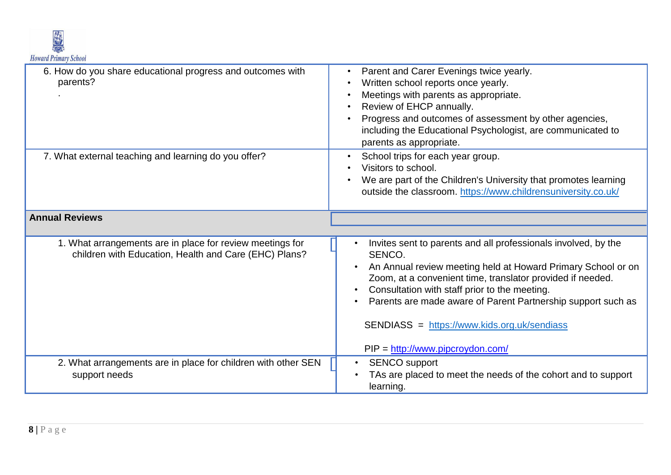

| 6. How do you share educational progress and outcomes with<br>parents?                                             | Parent and Carer Evenings twice yearly.<br>Written school reports once yearly.<br>Meetings with parents as appropriate.<br>Review of EHCP annually.<br>Progress and outcomes of assessment by other agencies,<br>including the Educational Psychologist, are communicated to<br>parents as appropriate.                                                                                                                                         |
|--------------------------------------------------------------------------------------------------------------------|-------------------------------------------------------------------------------------------------------------------------------------------------------------------------------------------------------------------------------------------------------------------------------------------------------------------------------------------------------------------------------------------------------------------------------------------------|
| 7. What external teaching and learning do you offer?                                                               | School trips for each year group.<br>Visitors to school.<br>We are part of the Children's University that promotes learning<br>outside the classroom. https://www.childrensuniversity.co.uk/                                                                                                                                                                                                                                                    |
| <b>Annual Reviews</b>                                                                                              |                                                                                                                                                                                                                                                                                                                                                                                                                                                 |
|                                                                                                                    |                                                                                                                                                                                                                                                                                                                                                                                                                                                 |
| 1. What arrangements are in place for review meetings for<br>children with Education, Health and Care (EHC) Plans? | Invites sent to parents and all professionals involved, by the<br>SENCO.<br>An Annual review meeting held at Howard Primary School or on<br>Zoom, at a convenient time, translator provided if needed.<br>Consultation with staff prior to the meeting.<br>Parents are made aware of Parent Partnership support such as<br>SENDIASS = https://www.kids.org.uk/sendiass<br>$PIP = \frac{http://www.pipcroydon.com/}{http://www.pipcroydon.com/}$ |
| 2. What arrangements are in place for children with other SEN                                                      | <b>SENCO</b> support                                                                                                                                                                                                                                                                                                                                                                                                                            |
| support needs                                                                                                      | TAs are placed to meet the needs of the cohort and to support<br>learning.                                                                                                                                                                                                                                                                                                                                                                      |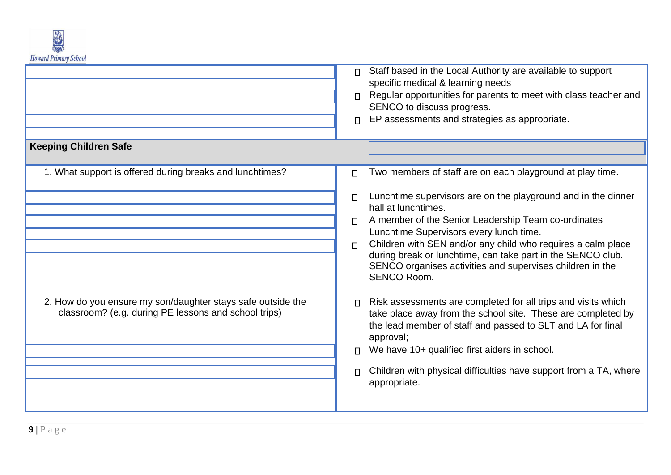

|                                                                                                                     | Staff based in the Local Authority are available to support<br>$\Box$<br>specific medical & learning needs<br>Regular opportunities for parents to meet with class teacher and<br>SENCO to discuss progress.<br>EP assessments and strategies as appropriate.<br>$\Box$                                                                                                                                                                                                                                       |
|---------------------------------------------------------------------------------------------------------------------|---------------------------------------------------------------------------------------------------------------------------------------------------------------------------------------------------------------------------------------------------------------------------------------------------------------------------------------------------------------------------------------------------------------------------------------------------------------------------------------------------------------|
| <b>Keeping Children Safe</b>                                                                                        |                                                                                                                                                                                                                                                                                                                                                                                                                                                                                                               |
| 1. What support is offered during breaks and lunchtimes?                                                            | Two members of staff are on each playground at play time.<br>$\Box$<br>Lunchtime supervisors are on the playground and in the dinner<br>$\Box$<br>hall at lunchtimes.<br>A member of the Senior Leadership Team co-ordinates<br>$\Box$<br>Lunchtime Supervisors every lunch time.<br>Children with SEN and/or any child who requires a calm place<br>$\Box$<br>during break or lunchtime, can take part in the SENCO club.<br>SENCO organises activities and supervises children in the<br><b>SENCO Room.</b> |
| 2. How do you ensure my son/daughter stays safe outside the<br>classroom? (e.g. during PE lessons and school trips) | Risk assessments are completed for all trips and visits which<br>$\Box$<br>take place away from the school site. These are completed by<br>the lead member of staff and passed to SLT and LA for final<br>approval;<br>We have 10+ qualified first aiders in school.<br>$\Box$<br>Children with physical difficulties have support from a TA, where<br>appropriate.                                                                                                                                           |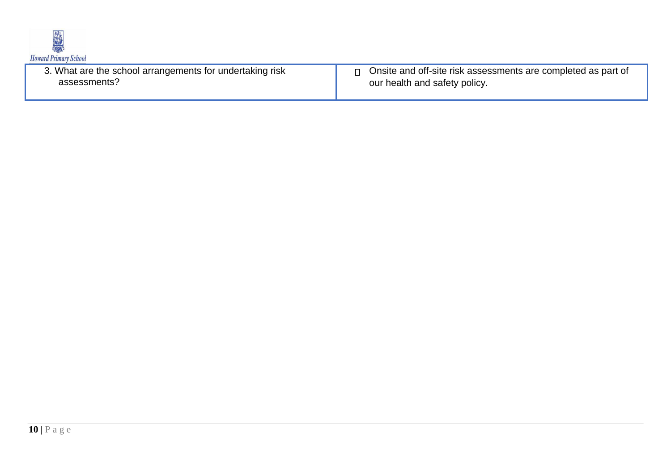

| 3. What are the school arrangements for undertaking risk<br>assessments? | Onsite and off-site risk assessments are completed as part of<br>our health and safety policy. |
|--------------------------------------------------------------------------|------------------------------------------------------------------------------------------------|
|                                                                          |                                                                                                |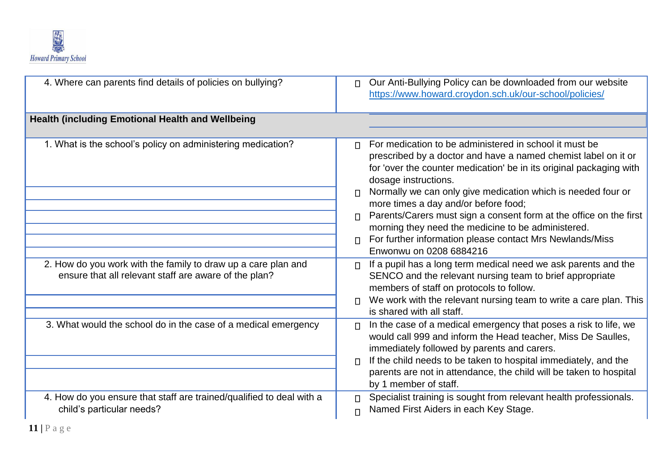

| 4. Where can parents find details of policies on bullying?                                                             | Our Anti-Bullying Policy can be downloaded from our website<br>$\Box$<br>https://www.howard.croydon.sch.uk/our-school/policies/                                                                                                                                                                                                                             |
|------------------------------------------------------------------------------------------------------------------------|-------------------------------------------------------------------------------------------------------------------------------------------------------------------------------------------------------------------------------------------------------------------------------------------------------------------------------------------------------------|
| <b>Health (including Emotional Health and Wellbeing</b>                                                                |                                                                                                                                                                                                                                                                                                                                                             |
| 1. What is the school's policy on administering medication?                                                            | For medication to be administered in school it must be<br>prescribed by a doctor and have a named chemist label on it or<br>for 'over the counter medication' be in its original packaging with<br>dosage instructions.                                                                                                                                     |
|                                                                                                                        | Normally we can only give medication which is needed four or<br>$\Box$<br>more times a day and/or before food;<br>Parents/Carers must sign a consent form at the office on the first<br>morning they need the medicine to be administered.<br>For further information please contact Mrs Newlands/Miss<br>$\Box$<br>Enwonwu on 0208 6884216                 |
| 2. How do you work with the family to draw up a care plan and<br>ensure that all relevant staff are aware of the plan? | If a pupil has a long term medical need we ask parents and the<br>SENCO and the relevant nursing team to brief appropriate<br>members of staff on protocols to follow.<br>We work with the relevant nursing team to write a care plan. This<br>$\Box$<br>is shared with all staff.                                                                          |
| 3. What would the school do in the case of a medical emergency                                                         | In the case of a medical emergency that poses a risk to life, we<br>$\Box$<br>would call 999 and inform the Head teacher, Miss De Saulles,<br>immediately followed by parents and carers.<br>If the child needs to be taken to hospital immediately, and the<br>parents are not in attendance, the child will be taken to hospital<br>by 1 member of staff. |
| 4. How do you ensure that staff are trained/qualified to deal with a<br>child's particular needs?                      | Specialist training is sought from relevant health professionals.<br>Named First Aiders in each Key Stage.<br>п                                                                                                                                                                                                                                             |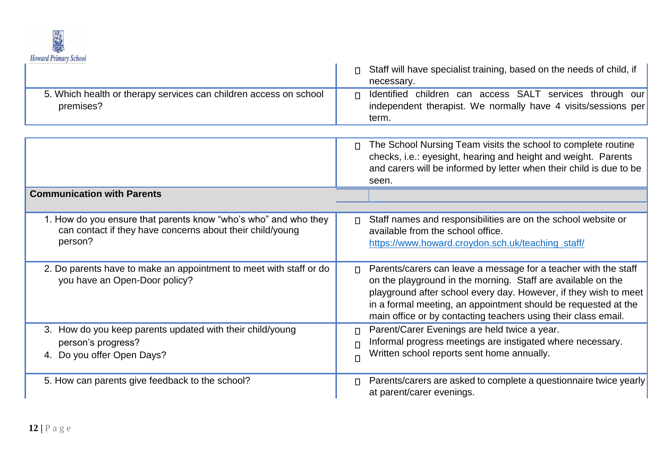

| UVIVINI I HIIIII V DUNVO<br>5. Which health or therapy services can children access on school<br>premises?                              | Staff will have specialist training, based on the needs of child, if<br>necessary.<br>Identified children can access SALT services through our<br>$\Box$<br>independent therapist. We normally have 4 visits/sessions per<br>term.                                                                                                                |
|-----------------------------------------------------------------------------------------------------------------------------------------|---------------------------------------------------------------------------------------------------------------------------------------------------------------------------------------------------------------------------------------------------------------------------------------------------------------------------------------------------|
|                                                                                                                                         | The School Nursing Team visits the school to complete routine<br>$\Box$<br>checks, i.e.: eyesight, hearing and height and weight. Parents<br>and carers will be informed by letter when their child is due to be<br>seen.                                                                                                                         |
| <b>Communication with Parents</b>                                                                                                       |                                                                                                                                                                                                                                                                                                                                                   |
| 1. How do you ensure that parents know "who's who" and who they<br>can contact if they have concerns about their child/young<br>person? | Staff names and responsibilities are on the school website or<br>П<br>available from the school office.<br>https://www.howard.croydon.sch.uk/teaching_staff/                                                                                                                                                                                      |
| 2. Do parents have to make an appointment to meet with staff or do<br>you have an Open-Door policy?                                     | Parents/carers can leave a message for a teacher with the staff<br>$\Box$<br>on the playground in the morning. Staff are available on the<br>playground after school every day. However, if they wish to meet<br>in a formal meeting, an appointment should be requested at the<br>main office or by contacting teachers using their class email. |
| 3. How do you keep parents updated with their child/young<br>person's progress?<br>4. Do you offer Open Days?                           | Parent/Carer Evenings are held twice a year.<br>П<br>Informal progress meetings are instigated where necessary.<br>$\Box$<br>Written school reports sent home annually.<br>П                                                                                                                                                                      |
| 5. How can parents give feedback to the school?                                                                                         | Parents/carers are asked to complete a questionnaire twice yearly<br>П<br>at parent/carer evenings.                                                                                                                                                                                                                                               |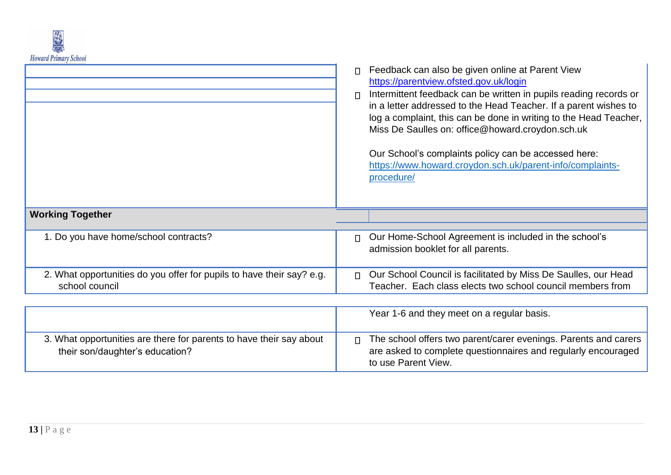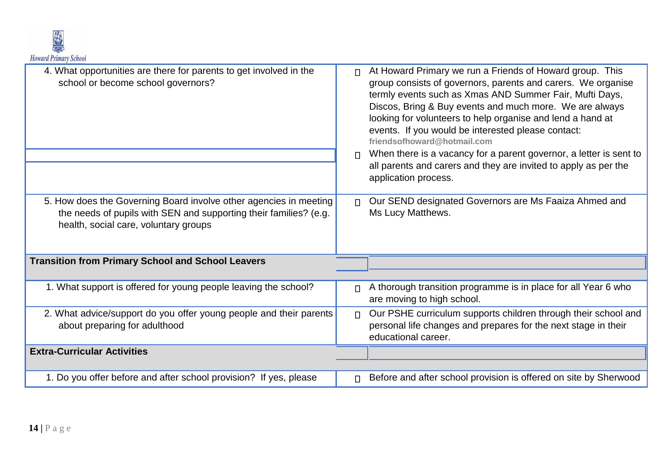

| 4. What opportunities are there for parents to get involved in the<br>school or become school governors?                                                                        | At Howard Primary we run a Friends of Howard group. This<br>$\Box$<br>group consists of governors, parents and carers. We organise<br>termly events such as Xmas AND Summer Fair, Mufti Days,<br>Discos, Bring & Buy events and much more. We are always<br>looking for volunteers to help organise and lend a hand at<br>events. If you would be interested please contact:<br>friendsofhoward@hotmail.com<br>When there is a vacancy for a parent governor, a letter is sent to<br>$\Box$<br>all parents and carers and they are invited to apply as per the<br>application process. |
|---------------------------------------------------------------------------------------------------------------------------------------------------------------------------------|----------------------------------------------------------------------------------------------------------------------------------------------------------------------------------------------------------------------------------------------------------------------------------------------------------------------------------------------------------------------------------------------------------------------------------------------------------------------------------------------------------------------------------------------------------------------------------------|
| 5. How does the Governing Board involve other agencies in meeting<br>the needs of pupils with SEN and supporting their families? (e.g.<br>health, social care, voluntary groups | Our SEND designated Governors are Ms Faaiza Ahmed and<br>$\Box$<br>Ms Lucy Matthews.                                                                                                                                                                                                                                                                                                                                                                                                                                                                                                   |
| <b>Transition from Primary School and School Leavers</b>                                                                                                                        |                                                                                                                                                                                                                                                                                                                                                                                                                                                                                                                                                                                        |
| 1. What support is offered for young people leaving the school?                                                                                                                 | A thorough transition programme is in place for all Year 6 who<br>$\Box$<br>are moving to high school.                                                                                                                                                                                                                                                                                                                                                                                                                                                                                 |
| 2. What advice/support do you offer young people and their parents<br>about preparing for adulthood                                                                             | Our PSHE curriculum supports children through their school and<br>$\Box$<br>personal life changes and prepares for the next stage in their<br>educational career.                                                                                                                                                                                                                                                                                                                                                                                                                      |
| <b>Extra-Curricular Activities</b>                                                                                                                                              |                                                                                                                                                                                                                                                                                                                                                                                                                                                                                                                                                                                        |
| 1. Do you offer before and after school provision? If yes, please                                                                                                               | Before and after school provision is offered on site by Sherwood<br>$\Box$                                                                                                                                                                                                                                                                                                                                                                                                                                                                                                             |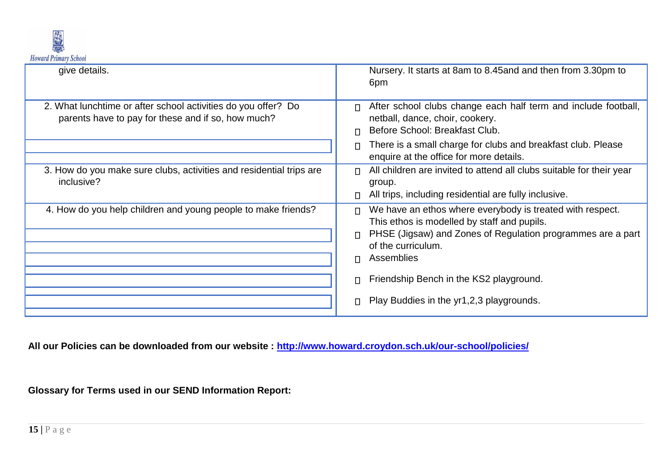

| give details.                                                                                                       | Nursery. It starts at 8am to 8.45and and then from 3.30pm to<br>6pm                                                                                                                                                                                                                                     |
|---------------------------------------------------------------------------------------------------------------------|---------------------------------------------------------------------------------------------------------------------------------------------------------------------------------------------------------------------------------------------------------------------------------------------------------|
| 2. What lunchtime or after school activities do you offer? Do<br>parents have to pay for these and if so, how much? | After school clubs change each half term and include football,<br>$\Box$<br>netball, dance, choir, cookery.<br>Before School: Breakfast Club.<br>$\Box$<br>There is a small charge for clubs and breakfast club. Please<br>enquire at the office for more details.                                      |
| 3. How do you make sure clubs, activities and residential trips are<br>inclusive?                                   | All children are invited to attend all clubs suitable for their year<br>group.<br>All trips, including residential are fully inclusive.                                                                                                                                                                 |
| 4. How do you help children and young people to make friends?                                                       | We have an ethos where everybody is treated with respect.<br>This ethos is modelled by staff and pupils.<br>PHSE (Jigsaw) and Zones of Regulation programmes are a part<br>of the curriculum.<br>Assemblies<br>П<br>Friendship Bench in the KS2 playground.<br>Play Buddies in the yr1,2,3 playgrounds. |

**All our Policies can be downloaded from our website : [http://www.howard.croydon.sch.uk/our-school/policies/](https://mail.lgflmail.org/owa/?ae=Folder&t=IPF.Note&id=LgAAAAD4ArNtI33uTLrM1WBJiEpyAQBkBf2hoVp7RK2elE9FHOmHAMKpsBElAAAB&slUsng=0)**

**Glossary for Terms used in our SEND Information Report:**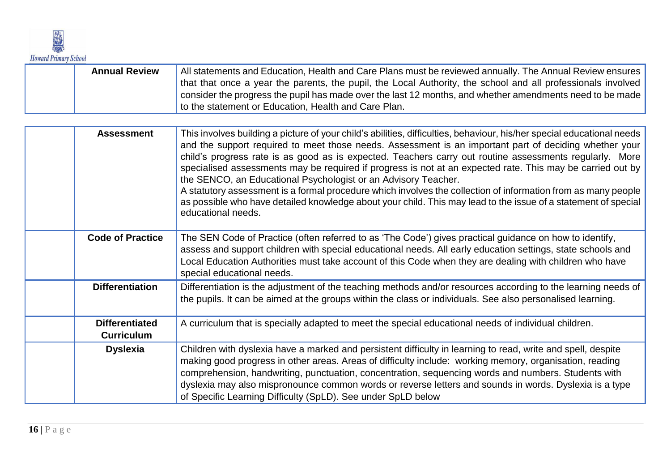

| <b>Annual Review</b> | All statements and Education, Health and Care Plans must be reviewed annually. The Annual Review ensures     |
|----------------------|--------------------------------------------------------------------------------------------------------------|
|                      | that that once a year the parents, the pupil, the Local Authority, the school and all professionals involved |
|                      | consider the progress the pupil has made over the last 12 months, and whether amendments need to be made     |
|                      | to the statement or Education, Health and Care Plan.                                                         |

| <b>Assessment</b>                          | This involves building a picture of your child's abilities, difficulties, behaviour, his/her special educational needs<br>and the support required to meet those needs. Assessment is an important part of deciding whether your<br>child's progress rate is as good as is expected. Teachers carry out routine assessments regularly. More<br>specialised assessments may be required if progress is not at an expected rate. This may be carried out by<br>the SENCO, an Educational Psychologist or an Advisory Teacher.<br>A statutory assessment is a formal procedure which involves the collection of information from as many people<br>as possible who have detailed knowledge about your child. This may lead to the issue of a statement of special<br>educational needs. |
|--------------------------------------------|--------------------------------------------------------------------------------------------------------------------------------------------------------------------------------------------------------------------------------------------------------------------------------------------------------------------------------------------------------------------------------------------------------------------------------------------------------------------------------------------------------------------------------------------------------------------------------------------------------------------------------------------------------------------------------------------------------------------------------------------------------------------------------------|
| <b>Code of Practice</b>                    | The SEN Code of Practice (often referred to as 'The Code') gives practical guidance on how to identify,<br>assess and support children with special educational needs. All early education settings, state schools and<br>Local Education Authorities must take account of this Code when they are dealing with children who have<br>special educational needs.                                                                                                                                                                                                                                                                                                                                                                                                                      |
| <b>Differentiation</b>                     | Differentiation is the adjustment of the teaching methods and/or resources according to the learning needs of<br>the pupils. It can be aimed at the groups within the class or individuals. See also personalised learning.                                                                                                                                                                                                                                                                                                                                                                                                                                                                                                                                                          |
| <b>Differentiated</b><br><b>Curriculum</b> | A curriculum that is specially adapted to meet the special educational needs of individual children.                                                                                                                                                                                                                                                                                                                                                                                                                                                                                                                                                                                                                                                                                 |
| <b>Dyslexia</b>                            | Children with dyslexia have a marked and persistent difficulty in learning to read, write and spell, despite<br>making good progress in other areas. Areas of difficulty include: working memory, organisation, reading<br>comprehension, handwriting, punctuation, concentration, sequencing words and numbers. Students with<br>dyslexia may also mispronounce common words or reverse letters and sounds in words. Dyslexia is a type<br>of Specific Learning Difficulty (SpLD). See under SpLD below                                                                                                                                                                                                                                                                             |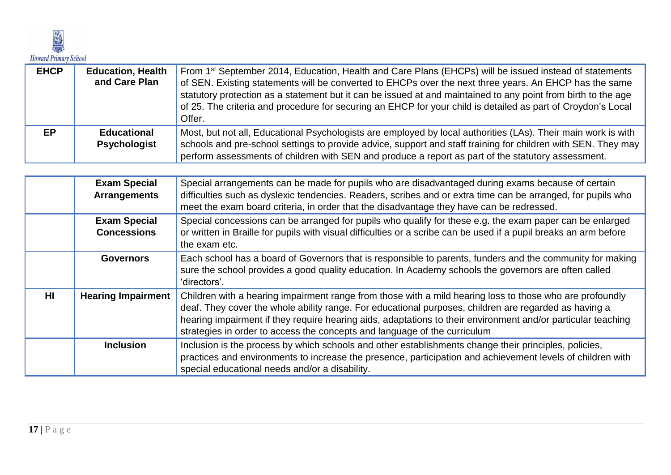

| <b>EHCP</b> | <b>Education, Health</b><br>and Care Plan | From 1 <sup>st</sup> September 2014, Education, Health and Care Plans (EHCPs) will be issued instead of statements<br>of SEN. Existing statements will be converted to EHCPs over the next three years. An EHCP has the same<br>statutory protection as a statement but it can be issued at and maintained to any point from birth to the age<br>of 25. The criteria and procedure for securing an EHCP for your child is detailed as part of Croydon's Local<br>Offer. |
|-------------|-------------------------------------------|-------------------------------------------------------------------------------------------------------------------------------------------------------------------------------------------------------------------------------------------------------------------------------------------------------------------------------------------------------------------------------------------------------------------------------------------------------------------------|
| EP          | <b>Educational</b><br><b>Psychologist</b> | Most, but not all, Educational Psychologists are employed by local authorities (LAs). Their main work is with<br>schools and pre-school settings to provide advice, support and staff training for children with SEN. They may<br>perform assessments of children with SEN and produce a report as part of the statutory assessment.                                                                                                                                    |

|                 | <b>Exam Special</b><br><b>Arrangements</b> | Special arrangements can be made for pupils who are disadvantaged during exams because of certain<br>difficulties such as dyslexic tendencies. Readers, scribes and or extra time can be arranged, for pupils who<br>meet the exam board criteria, in order that the disadvantage they have can be redressed.                                                                                                  |
|-----------------|--------------------------------------------|----------------------------------------------------------------------------------------------------------------------------------------------------------------------------------------------------------------------------------------------------------------------------------------------------------------------------------------------------------------------------------------------------------------|
|                 | <b>Exam Special</b><br><b>Concessions</b>  | Special concessions can be arranged for pupils who qualify for these e.g. the exam paper can be enlarged<br>or written in Braille for pupils with visual difficulties or a scribe can be used if a pupil breaks an arm before<br>the exam etc.                                                                                                                                                                 |
|                 | <b>Governors</b>                           | Each school has a board of Governors that is responsible to parents, funders and the community for making<br>sure the school provides a good quality education. In Academy schools the governors are often called<br>'directors'.                                                                                                                                                                              |
| H <sub>II</sub> | <b>Hearing Impairment</b>                  | Children with a hearing impairment range from those with a mild hearing loss to those who are profoundly<br>deaf. They cover the whole ability range. For educational purposes, children are regarded as having a<br>hearing impairment if they require hearing aids, adaptations to their environment and/or particular teaching<br>strategies in order to access the concepts and language of the curriculum |
|                 | <b>Inclusion</b>                           | Inclusion is the process by which schools and other establishments change their principles, policies,<br>practices and environments to increase the presence, participation and achievement levels of children with<br>special educational needs and/or a disability.                                                                                                                                          |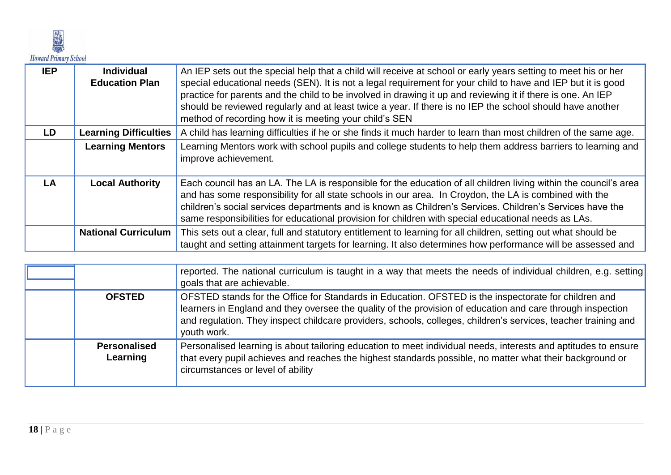

| <b>IEP</b> | <b>Individual</b><br><b>Education Plan</b> | An IEP sets out the special help that a child will receive at school or early years setting to meet his or her<br>special educational needs (SEN). It is not a legal requirement for your child to have and IEP but it is good<br>practice for parents and the child to be involved in drawing it up and reviewing it if there is one. An IEP<br>should be reviewed regularly and at least twice a year. If there is no IEP the school should have another<br>method of recording how it is meeting your child's SEN |
|------------|--------------------------------------------|----------------------------------------------------------------------------------------------------------------------------------------------------------------------------------------------------------------------------------------------------------------------------------------------------------------------------------------------------------------------------------------------------------------------------------------------------------------------------------------------------------------------|
| LD         | <b>Learning Difficulties</b>               | A child has learning difficulties if he or she finds it much harder to learn than most children of the same age.                                                                                                                                                                                                                                                                                                                                                                                                     |
|            | <b>Learning Mentors</b>                    | Learning Mentors work with school pupils and college students to help them address barriers to learning and<br>improve achievement.                                                                                                                                                                                                                                                                                                                                                                                  |
| LA         | <b>Local Authority</b>                     | Each council has an LA. The LA is responsible for the education of all children living within the council's area<br>and has some responsibility for all state schools in our area. In Croydon, the LA is combined with the<br>children's social services departments and is known as Children's Services. Children's Services have the<br>same responsibilities for educational provision for children with special educational needs as LAs.                                                                        |
|            | <b>National Curriculum</b>                 | This sets out a clear, full and statutory entitlement to learning for all children, setting out what should be<br>taught and setting attainment targets for learning. It also determines how performance will be assessed and                                                                                                                                                                                                                                                                                        |

|                          | reported. The national curriculum is taught in a way that meets the needs of individual children, e.g. setting<br>goals that are achievable.                                                                                                                                                                                                        |
|--------------------------|-----------------------------------------------------------------------------------------------------------------------------------------------------------------------------------------------------------------------------------------------------------------------------------------------------------------------------------------------------|
| <b>OFSTED</b>            | OFSTED stands for the Office for Standards in Education. OFSTED is the inspectorate for children and<br>learners in England and they oversee the quality of the provision of education and care through inspection<br>and regulation. They inspect childcare providers, schools, colleges, children's services, teacher training and<br>youth work. |
| Personalised<br>Learning | Personalised learning is about tailoring education to meet individual needs, interests and aptitudes to ensure<br>that every pupil achieves and reaches the highest standards possible, no matter what their background or<br>circumstances or level of ability                                                                                     |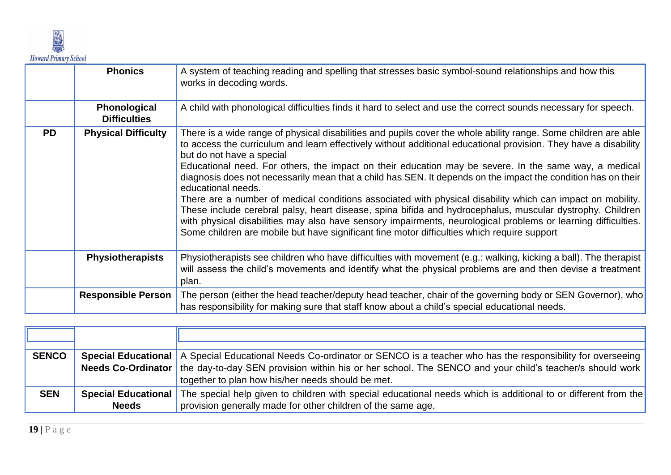

|           | <b>Phonics</b>                             | A system of teaching reading and spelling that stresses basic symbol-sound relationships and how this<br>works in decoding words.                                                                                                                                                                                                                                                                                                                                                                                                                                                                                                                                                                                                                                                                                                                                                                                                                          |
|-----------|--------------------------------------------|------------------------------------------------------------------------------------------------------------------------------------------------------------------------------------------------------------------------------------------------------------------------------------------------------------------------------------------------------------------------------------------------------------------------------------------------------------------------------------------------------------------------------------------------------------------------------------------------------------------------------------------------------------------------------------------------------------------------------------------------------------------------------------------------------------------------------------------------------------------------------------------------------------------------------------------------------------|
|           | <b>Phonological</b><br><b>Difficulties</b> | A child with phonological difficulties finds it hard to select and use the correct sounds necessary for speech.                                                                                                                                                                                                                                                                                                                                                                                                                                                                                                                                                                                                                                                                                                                                                                                                                                            |
| <b>PD</b> | <b>Physical Difficulty</b>                 | There is a wide range of physical disabilities and pupils cover the whole ability range. Some children are able<br>to access the curriculum and learn effectively without additional educational provision. They have a disability<br>but do not have a special<br>Educational need. For others, the impact on their education may be severe. In the same way, a medical<br>diagnosis does not necessarily mean that a child has SEN. It depends on the impact the condition has on their<br>educational needs.<br>There are a number of medical conditions associated with physical disability which can impact on mobility.<br>These include cerebral palsy, heart disease, spina bifida and hydrocephalus, muscular dystrophy. Children<br>with physical disabilities may also have sensory impairments, neurological problems or learning difficulties.<br>Some children are mobile but have significant fine motor difficulties which require support |
|           | <b>Physiotherapists</b>                    | Physiotherapists see children who have difficulties with movement (e.g.: walking, kicking a ball). The therapist<br>will assess the child's movements and identify what the physical problems are and then devise a treatment<br>plan.                                                                                                                                                                                                                                                                                                                                                                                                                                                                                                                                                                                                                                                                                                                     |
|           | <b>Responsible Person</b>                  | The person (either the head teacher/deputy head teacher, chair of the governing body or SEN Governor), who<br>has responsibility for making sure that staff know about a child's special educational needs.                                                                                                                                                                                                                                                                                                                                                                                                                                                                                                                                                                                                                                                                                                                                                |

| <b>SENCO</b> |                            | Special Educational   A Special Educational Needs Co-ordinator or SENCO is a teacher who has the responsibility for overseeing |
|--------------|----------------------------|--------------------------------------------------------------------------------------------------------------------------------|
|              |                            | Needs Co-Ordinator   the day-to-day SEN provision within his or her school. The SENCO and your child's teacher/s should work   |
|              |                            | together to plan how his/her needs should be met.                                                                              |
| <b>SEN</b>   | <b>Special Educational</b> | The special help given to children with special educational needs which is additional to or different from the                 |
|              | <b>Needs</b>               | provision generally made for other children of the same age.                                                                   |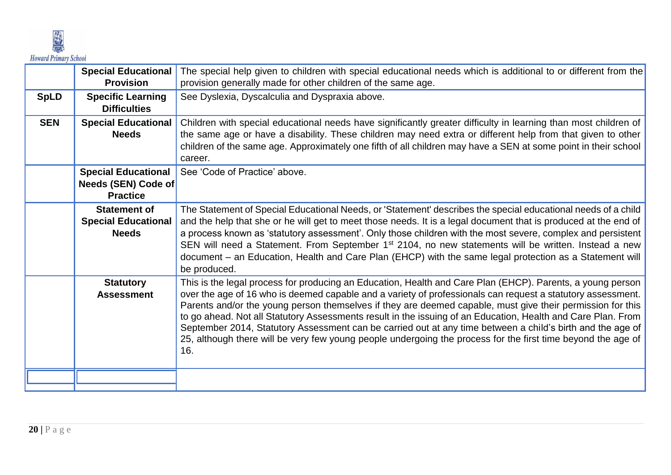

|             | <b>Special Educational</b><br><b>Provision</b>                       | The special help given to children with special educational needs which is additional to or different from the<br>provision generally made for other children of the same age.                                                                                                                                                                                                                                                                                                                                                                                                                                                                                                               |
|-------------|----------------------------------------------------------------------|----------------------------------------------------------------------------------------------------------------------------------------------------------------------------------------------------------------------------------------------------------------------------------------------------------------------------------------------------------------------------------------------------------------------------------------------------------------------------------------------------------------------------------------------------------------------------------------------------------------------------------------------------------------------------------------------|
| <b>SpLD</b> | <b>Specific Learning</b><br><b>Difficulties</b>                      | See Dyslexia, Dyscalculia and Dyspraxia above.                                                                                                                                                                                                                                                                                                                                                                                                                                                                                                                                                                                                                                               |
| <b>SEN</b>  | <b>Special Educational</b><br><b>Needs</b>                           | Children with special educational needs have significantly greater difficulty in learning than most children of<br>the same age or have a disability. These children may need extra or different help from that given to other<br>children of the same age. Approximately one fifth of all children may have a SEN at some point in their school<br>career.                                                                                                                                                                                                                                                                                                                                  |
|             | <b>Special Educational</b><br>Needs (SEN) Code of<br><b>Practice</b> | See 'Code of Practice' above.                                                                                                                                                                                                                                                                                                                                                                                                                                                                                                                                                                                                                                                                |
|             | <b>Statement of</b><br><b>Special Educational</b><br><b>Needs</b>    | The Statement of Special Educational Needs, or 'Statement' describes the special educational needs of a child<br>and the help that she or he will get to meet those needs. It is a legal document that is produced at the end of<br>a process known as 'statutory assessment'. Only those children with the most severe, complex and persistent<br>SEN will need a Statement. From September 1 <sup>st</sup> 2104, no new statements will be written. Instead a new<br>document - an Education, Health and Care Plan (EHCP) with the same legal protection as a Statement will<br>be produced.                                                                                               |
|             | <b>Statutory</b><br><b>Assessment</b>                                | This is the legal process for producing an Education, Health and Care Plan (EHCP). Parents, a young person<br>over the age of 16 who is deemed capable and a variety of professionals can request a statutory assessment.<br>Parents and/or the young person themselves if they are deemed capable, must give their permission for this<br>to go ahead. Not all Statutory Assessments result in the issuing of an Education, Health and Care Plan. From<br>September 2014, Statutory Assessment can be carried out at any time between a child's birth and the age of<br>25, although there will be very few young people undergoing the process for the first time beyond the age of<br>16. |
|             |                                                                      |                                                                                                                                                                                                                                                                                                                                                                                                                                                                                                                                                                                                                                                                                              |